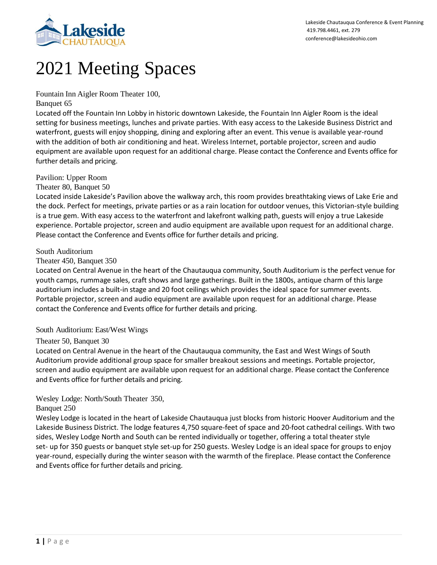

# 2021 Meeting Spaces

Fountain Inn Aigler Room Theater 100,

## Banquet 65

Located off the Fountain Inn Lobby in historic downtown Lakeside, the Fountain Inn Aigler Room is the ideal setting for business meetings, lunches and private parties. With easy access to the Lakeside Business District and waterfront, guests will enjoy shopping, dining and exploring after an event. This venue is available year-round with the addition of both air conditioning and heat. Wireless Internet, portable projector, screen and audio equipment are available upon request for an additional charge. Please contact the Conference and Events office for further details and pricing.

# Pavilion: Upper Room

Theater 80, Banquet 50

Located inside Lakeside's Pavilion above the walkway arch, this room provides breathtaking views of Lake Erie and the dock. Perfect for meetings, private parties or as a rain location for outdoor venues, this Victorian-style building is a true gem. With easy access to the waterfront and lakefront walking path, guests will enjoy a true Lakeside experience. Portable projector, screen and audio equipment are available upon request for an additional charge. Please contact the Conference and Events office for further details and pricing.

## South Auditorium

## Theater 450, Banquet 350

Located on Central Avenue in the heart of the Chautauqua community, South Auditorium is the perfect venue for youth camps, rummage sales, craft shows and large gatherings. Built in the 1800s, antique charm of this large auditorium includes a built-in stage and 20 foot ceilings which provides the ideal space for summer events. Portable projector, screen and audio equipment are available upon request for an additional charge. Please contact the Conference and Events office for further details and pricing.

# South Auditorium: East/West Wings

# Theater 50, Banquet 30

Located on Central Avenue in the heart of the Chautauqua community, the East and West Wings of South Auditorium provide additional group space for smaller breakout sessions and meetings. Portable projector, screen and audio equipment are available upon request for an additional charge. Please contact the Conference and Events office for further details and pricing.

# Wesley Lodge: North/South Theater 350,

# Banquet 250

Wesley Lodge is located in the heart of Lakeside Chautauqua just blocks from historic Hoover Auditorium and the Lakeside Business District. The lodge features 4,750 square-feet of space and 20-foot cathedral ceilings. With two sides, Wesley Lodge North and South can be rented individually or together, offering a total theater style set- up for 350 guests or banquet style set-up for 250 guests. Wesley Lodge is an ideal space for groups to enjoy year-round, especially during the winter season with the warmth of the fireplace. Please contact the Conference and Events office for further details and pricing.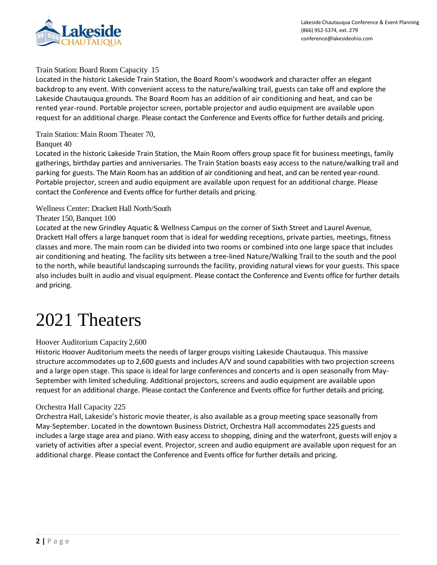

#### Train Station: Board Room Capacity 15

Located in the historic Lakeside Train Station, the Board Room's woodwork and character offer an elegant backdrop to any event. With convenient access to the nature/walking trail, guests can take off and explore the Lakeside Chautauqua grounds. The Board Room has an addition of air conditioning and heat, and can be rented year-round. Portable projector screen, portable projector and audio equipment are available upon request for an additional charge. Please contact the Conference and Events office for further details and pricing.

Train Station: Main Room Theater 70,

Banquet 40

Located in the historic Lakeside Train Station, the Main Room offers group space fit for business meetings, family gatherings, birthday parties and anniversaries. The Train Station boasts easy access to the nature/walking trail and parking for guests. The Main Room has an addition of air conditioning and heat, and can be rented year-round. Portable projector, screen and audio equipment are available upon request for an additional charge. Please contact the Conference and Events office for further details and pricing.

#### Wellness Center: Drackett Hall North/South

#### Theater 150, Banquet 100

Located at the new Grindley Aquatic & Wellness Campus on the corner of Sixth Street and Laurel Avenue, Drackett Hall offers a large banquet room that is ideal for wedding receptions, private parties, meetings, fitness classes and more. The main room can be divided into two rooms or combined into one large space that includes air conditioning and heating. The facility sits between a tree-lined Nature/Walking Trail to the south and the pool to the north, while beautiful landscaping surrounds the facility, providing natural views for your guests. This space also includes built in audio and visual equipment. Please contact the Conference and Events office for further details and pricing.

# 2021 Theaters

## Hoover Auditorium Capacity 2,600

Historic Hoover Auditorium meets the needs of larger groups visiting Lakeside Chautauqua. This massive structure accommodates up to 2,600 guests and includes A/V and sound capabilities with two projection screens and a large open stage. This space is ideal for large conferences and concerts and is open seasonally from May-September with limited scheduling. Additional projectors, screens and audio equipment are available upon request for an additional charge. Please contact the Conference and Events office for further details and pricing.

#### Orchestra Hall Capacity 225

Orchestra Hall, Lakeside's historic movie theater, is also available as a group meeting space seasonally from May-September. Located in the downtown Business District, Orchestra Hall accommodates 225 guests and includes a large stage area and piano. With easy access to shopping, dining and the waterfront, guests will enjoy a variety of activities after a special event. Projector, screen and audio equipment are available upon request for an additional charge. Please contact the Conference and Events office for further details and pricing.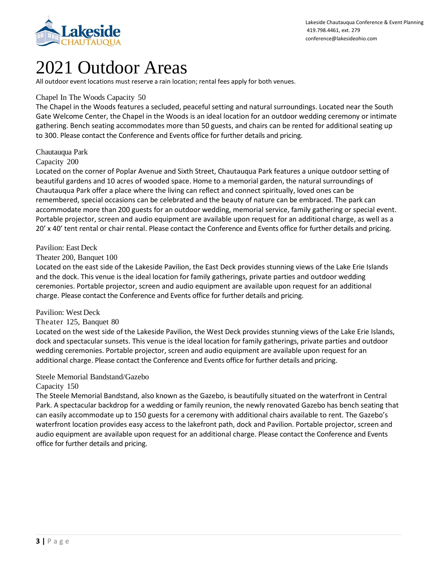

# 2021 Outdoor Areas

All outdoor event locations must reserve a rain location; rental fees apply for both venues.

## Chapel In The Woods Capacity 50

The Chapel in the Woods features a secluded, peaceful setting and natural surroundings. Located near the South Gate Welcome Center, the Chapel in the Woods is an ideal location for an outdoor wedding ceremony or intimate gathering. Bench seating accommodates more than 50 guests, and chairs can be rented for additional seating up to 300. Please contact the Conference and Events office for further details and pricing.

## Chautauqua Park

Capacity 200

Located on the corner of Poplar Avenue and Sixth Street, Chautauqua Park features a unique outdoor setting of beautiful gardens and 10 acres of wooded space. Home to a memorial garden, the natural surroundings of Chautauqua Park offer a place where the living can reflect and connect spiritually, loved ones can be remembered, special occasions can be celebrated and the beauty of nature can be embraced. The park can accommodate more than 200 guests for an outdoor wedding, memorial service, family gathering or special event. Portable projector, screen and audio equipment are available upon request for an additional charge, as well as a 20' x 40' tent rental or chair rental. Please contact the Conference and Events office for further details and pricing.

## Pavilion: East Deck

#### Theater 200, Banquet 100

Located on the east side of the Lakeside Pavilion, the East Deck provides stunning views of the Lake Erie Islands and the dock. This venue isthe ideal location for family gatherings, private parties and outdoor wedding ceremonies. Portable projector, screen and audio equipment are available upon request for an additional charge. Please contact the Conference and Events office for further details and pricing.

#### Pavilion: West Deck

## Theater 125, Banquet 80

Located on the west side of the Lakeside Pavilion, the West Deck provides stunning views of the Lake Erie Islands, dock and spectacular sunsets. This venue is the ideal location for family gatherings, private parties and outdoor wedding ceremonies. Portable projector, screen and audio equipment are available upon request for an additional charge. Please contact the Conference and Events office for further details and pricing.

## Steele Memorial Bandstand/Gazebo

#### Capacity 150

The Steele Memorial Bandstand, also known as the Gazebo, is beautifully situated on the waterfront in Central Park. A spectacular backdrop for a wedding or family reunion, the newly renovated Gazebo has bench seating that can easily accommodate up to 150 guests for a ceremony with additional chairs available to rent. The Gazebo's waterfront location provides easy access to the lakefront path, dock and Pavilion. Portable projector, screen and audio equipment are available upon request for an additional charge. Please contact the Conference and Events office for further details and pricing.